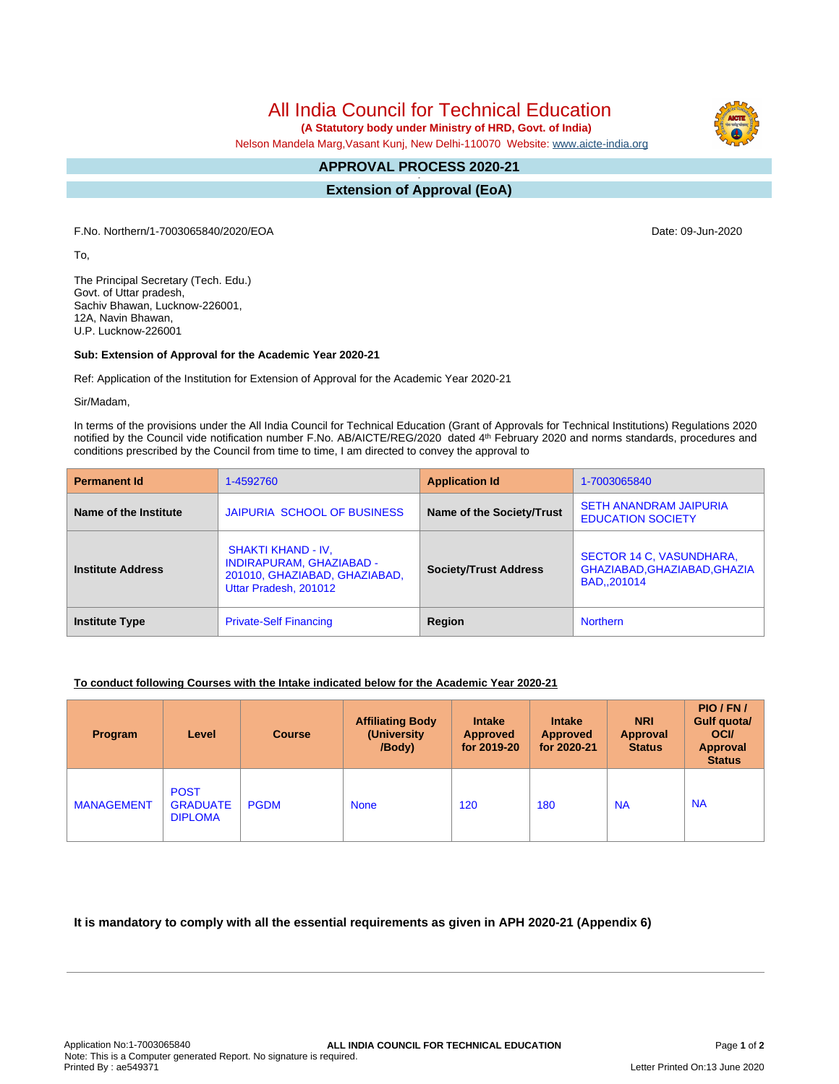All India Council for Technical Education

 **(A Statutory body under Ministry of HRD, Govt. of India)**

Nelson Mandela Marg,Vasant Kunj, New Delhi-110070 Website: [www.aicte-india.org](http://www.aicte-india.org)

## **APPROVAL PROCESS 2020-21 -**

**Extension of Approval (EoA)**

F.No. Northern/1-7003065840/2020/EOA Date: 09-Jun-2020

To,

The Principal Secretary (Tech. Edu.) Govt. of Uttar pradesh, Sachiv Bhawan, Lucknow-226001, 12A, Navin Bhawan, U.P. Lucknow-226001

## **Sub: Extension of Approval for the Academic Year 2020-21**

Ref: Application of the Institution for Extension of Approval for the Academic Year 2020-21

Sir/Madam,

In terms of the provisions under the All India Council for Technical Education (Grant of Approvals for Technical Institutions) Regulations 2020 notified by the Council vide notification number F.No. AB/AICTE/REG/2020 dated 4<sup>th</sup> February 2020 and norms standards, procedures and conditions prescribed by the Council from time to time, I am directed to convey the approval to

| <b>Permanent Id</b>      | 1-4592760                                                                                                              | <b>Application Id</b>        | 1-7003065840                                                             |  |
|--------------------------|------------------------------------------------------------------------------------------------------------------------|------------------------------|--------------------------------------------------------------------------|--|
| Name of the Institute    | JAIPURIA SCHOOL OF BUSINESS                                                                                            | Name of the Society/Trust    | <b>SETH ANANDRAM JAIPURIA</b><br><b>EDUCATION SOCIETY</b>                |  |
| <b>Institute Address</b> | <b>SHAKTI KHAND - IV.</b><br><b>INDIRAPURAM, GHAZIABAD -</b><br>201010, GHAZIABAD, GHAZIABAD,<br>Uttar Pradesh, 201012 | <b>Society/Trust Address</b> | SECTOR 14 C, VASUNDHARA,<br>GHAZIABAD, GHAZIABAD, GHAZIA<br>BAD., 201014 |  |
| <b>Institute Type</b>    | <b>Private-Self Financing</b>                                                                                          |                              | <b>Northern</b>                                                          |  |

## **To conduct following Courses with the Intake indicated below for the Academic Year 2020-21**

| Program           | Level                                            | <b>Course</b> | <b>Affiliating Body</b><br>(University)<br>/Body) | <b>Intake</b><br><b>Approved</b><br>for 2019-20 | <b>Intake</b><br><b>Approved</b><br>for 2020-21 | <b>NRI</b><br>Approval<br><b>Status</b> | PIO/FN/<br>Gulf quota/<br><b>OCI</b><br><b>Approval</b><br><b>Status</b> |
|-------------------|--------------------------------------------------|---------------|---------------------------------------------------|-------------------------------------------------|-------------------------------------------------|-----------------------------------------|--------------------------------------------------------------------------|
| <b>MANAGEMENT</b> | <b>POST</b><br><b>GRADUATE</b><br><b>DIPLOMA</b> | <b>PGDM</b>   | <b>None</b>                                       | 120                                             | 180                                             | <b>NA</b>                               | <b>NA</b>                                                                |

L.

**It is mandatory to comply with all the essential requirements as given in APH 2020-21 (Appendix 6)**